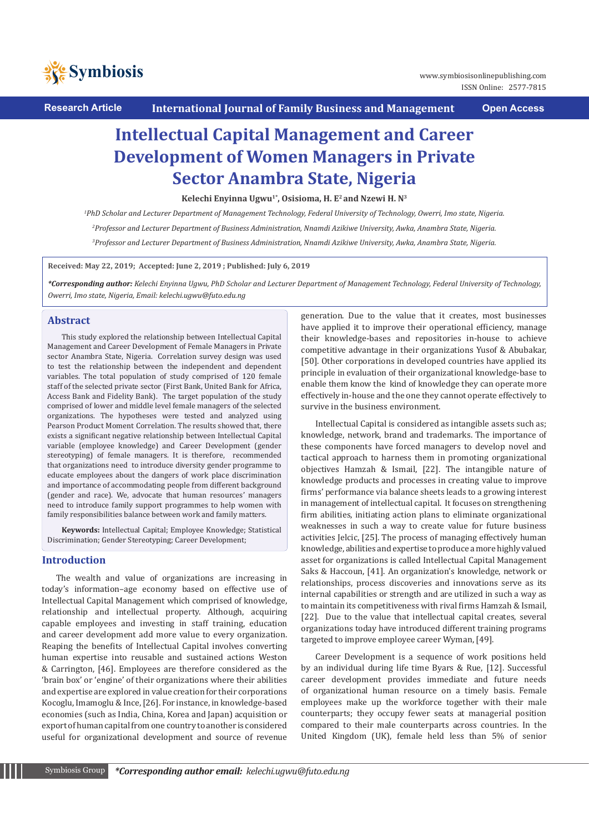

**Research Article International Journal of Family Business and Management Open Access**

# **Intellectual Capital Management and Career Development of Women Managers in Private Sector Anambra State, Nigeria**

Kelechi Enyinna Ugwu<sup>1\*</sup>, Osisioma, H. E<sup>2</sup> and Nzewi H. N<sup>3</sup>

*1 PhD Scholar and Lecturer Department of Management Technology, Federal University of Technology, Owerri, Imo state, Nigeria. 2 Professor and Lecturer Department of Business Administration, Nnamdi Azikiwe University, Awka, Anambra State, Nigeria. 3 Professor and Lecturer Department of Business Administration, Nnamdi Azikiwe University, Awka, Anambra State, Nigeria.*

**Received: May 22, 2019; Accepted: June 2, 2019 ; Published: July 6, 2019**

*\*Corresponding author: Kelechi Enyinna Ugwu, PhD Scholar and Lecturer Department of Management Technology, Federal University of Technology, Owerri, Imo state, Nigeria, Email: kelechi.ugwu@futo.edu.ng*

## **Abstract**

This study explored the relationship between Intellectual Capital Management and Career Development of Female Managers in Private sector Anambra State, Nigeria. Correlation survey design was used to test the relationship between the independent and dependent variables. The total population of study comprised of 120 female staff of the selected private sector (First Bank, United Bank for Africa, Access Bank and Fidelity Bank). The target population of the study comprised of lower and middle level female managers of the selected organizations. The hypotheses were tested and analyzed using Pearson Product Moment Correlation. The results showed that, there exists a significant negative relationship between Intellectual Capital variable (employee knowledge) and Career Development (gender stereotyping) of female managers. It is therefore, recommended that organizations need to introduce diversity gender programme to educate employees about the dangers of work place discrimination and importance of accommodating people from different background (gender and race). We, advocate that human resources' managers need to introduce family support programmes to help women with family responsibilities balance between work and family matters.

**Keywords:** Intellectual Capital; Employee Knowledge; Statistical Discrimination; Gender Stereotyping; Career Development;

# **Introduction**

The wealth and value of organizations are increasing in today's information–age economy based on effective use of Intellectual Capital Management which comprised of knowledge, relationship and intellectual property. Although, acquiring capable employees and investing in staff training, education and career development add more value to every organization. Reaping the benefits of Intellectual Capital involves converting human expertise into reusable and sustained actions Weston & Carrington, [46]. Employees are therefore considered as the 'brain box' or 'engine' of their organizations where their abilities and expertise are explored in value creation for their corporations Kocoglu, Imamoglu & Ince, [26]. For instance, in knowledge-based economies (such as India, China, Korea and Japan) acquisition or export of human capital from one country to another is considered useful for organizational development and source of revenue

generation. Due to the value that it creates, most businesses have applied it to improve their operational efficiency, manage their knowledge-bases and repositories in-house to achieve competitive advantage in their organizations Yusof & Abubakar, [50]. Other corporations in developed countries have applied its principle in evaluation of their organizational knowledge-base to enable them know the kind of knowledge they can operate more effectively in-house and the one they cannot operate effectively to survive in the business environment.

Intellectual Capital is considered as intangible assets such as; knowledge, network, brand and trademarks. The importance of these components have forced managers to develop novel and tactical approach to harness them in promoting organizational objectives Hamzah & Ismail, [22]. The intangible nature of knowledge products and processes in creating value to improve firms' performance via balance sheets leads to a growing interest in management of intellectual capital. It focuses on strengthening firm abilities, initiating action plans to eliminate organizational weaknesses in such a way to create value for future business activities Jelcic, [25]. The process of managing effectively human knowledge, abilities and expertise to produce a more highly valued asset for organizations is called Intellectual Capital Management Saks & Haccoun, [41]. An organization's knowledge, network or relationships, process discoveries and innovations serve as its internal capabilities or strength and are utilized in such a way as to maintain its competitiveness with rival firms Hamzah & Ismail, [22]. Due to the value that intellectual capital creates, several organizations today have introduced different training programs targeted to improve employee career Wyman, [49].

Career Development is a sequence of work positions held by an individual during life time Byars & Rue, [12]. Successful career development provides immediate and future needs of organizational human resource on a timely basis. Female employees make up the workforce together with their male counterparts; they occupy fewer seats at managerial position compared to their male counterparts across countries. In the United Kingdom (UK), female held less than 5% of senior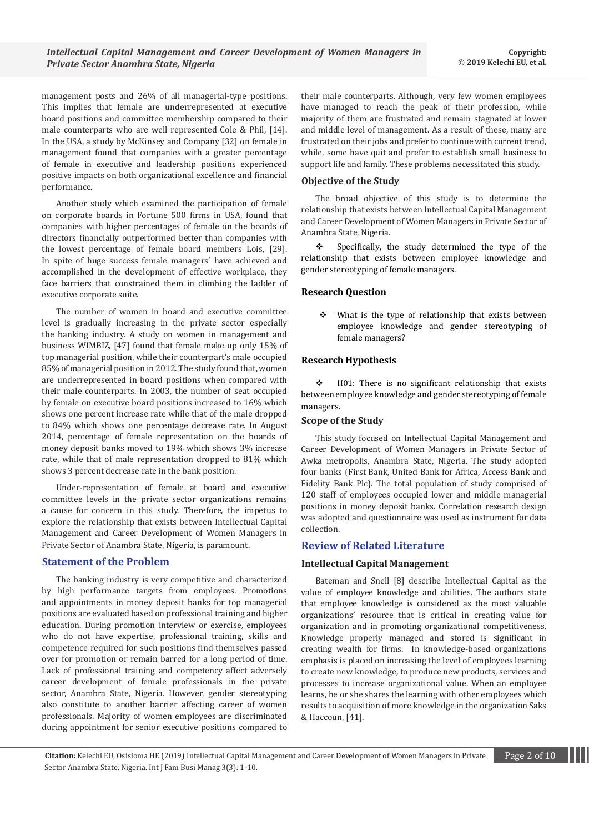management posts and 26% of all managerial-type positions. This implies that female are underrepresented at executive board positions and committee membership compared to their male counterparts who are well represented Cole & Phil, [14]. In the USA, a study by McKinsey and Company [32] on female in management found that companies with a greater percentage of female in executive and leadership positions experienced positive impacts on both organizational excellence and financial performance.

Another study which examined the participation of female on corporate boards in Fortune 500 firms in USA, found that companies with higher percentages of female on the boards of directors financially outperformed better than companies with the lowest percentage of female board members Lois, [29]. In spite of huge success female managers' have achieved and accomplished in the development of effective workplace, they face barriers that constrained them in climbing the ladder of executive corporate suite.

The number of women in board and executive committee level is gradually increasing in the private sector especially the banking industry. A study on women in management and business WIMBIZ, [47] found that female make up only 15% of top managerial position, while their counterpart's male occupied 85% of managerial position in 2012. The study found that, women are underrepresented in board positions when compared with their male counterparts. In 2003, the number of seat occupied by female on executive board positions increased to 16% which shows one percent increase rate while that of the male dropped to 84% which shows one percentage decrease rate. In August 2014, percentage of female representation on the boards of money deposit banks moved to 19% which shows 3% increase rate, while that of male representation dropped to 81% which shows 3 percent decrease rate in the bank position.

Under-representation of female at board and executive committee levels in the private sector organizations remains a cause for concern in this study. Therefore, the impetus to explore the relationship that exists between Intellectual Capital Management and Career Development of Women Managers in Private Sector of Anambra State, Nigeria, is paramount.

## **Statement of the Problem**

The banking industry is very competitive and characterized by high performance targets from employees. Promotions and appointments in money deposit banks for top managerial positions are evaluated based on professional training and higher education. During promotion interview or exercise, employees who do not have expertise, professional training, skills and competence required for such positions find themselves passed over for promotion or remain barred for a long period of time. Lack of professional training and competency affect adversely career development of female professionals in the private sector, Anambra State, Nigeria. However, gender stereotyping also constitute to another barrier affecting career of women professionals. Majority of women employees are discriminated during appointment for senior executive positions compared to

their male counterparts. Although, very few women employees have managed to reach the peak of their profession, while majority of them are frustrated and remain stagnated at lower and middle level of management. As a result of these, many are frustrated on their jobs and prefer to continue with current trend, while, some have quit and prefer to establish small business to support life and family. These problems necessitated this study.

## **Objective of the Study**

The broad objective of this study is to determine the relationship that exists between Intellectual Capital Management and Career Development of Women Managers in Private Sector of Anambra State, Nigeria.

 $\div$  Specifically, the study determined the type of the relationship that exists between employee knowledge and gender stereotyping of female managers.

## **Research Question**

 $\div$  What is the type of relationship that exists between employee knowledge and gender stereotyping of female managers?

#### **Research Hypothesis**

 $\div$  H01: There is no significant relationship that exists between employee knowledge and gender stereotyping of female managers.

### **Scope of the Study**

This study focused on Intellectual Capital Management and Career Development of Women Managers in Private Sector of Awka metropolis, Anambra State, Nigeria. The study adopted four banks (First Bank, United Bank for Africa, Access Bank and Fidelity Bank Plc). The total population of study comprised of 120 staff of employees occupied lower and middle managerial positions in money deposit banks. Correlation research design was adopted and questionnaire was used as instrument for data collection.

# **Review of Related Literature**

# **Intellectual Capital Management**

Bateman and Snell [8] describe Intellectual Capital as the value of employee knowledge and abilities. The authors state that employee knowledge is considered as the most valuable organizations' resource that is critical in creating value for organization and in promoting organizational competitiveness. Knowledge properly managed and stored is significant in creating wealth for firms. In knowledge-based organizations emphasis is placed on increasing the level of employees learning to create new knowledge, to produce new products, services and processes to increase organizational value. When an employee learns, he or she shares the learning with other employees which results to acquisition of more knowledge in the organization Saks & Haccoun, [41].

**Citation:** Kelechi EU, Osisioma HE (2019) Intellectual Capital Management and Career Development of Women Managers in Private Page 2 of 10 Sector Anambra State, Nigeria. Int J Fam Busi Manag 3(3)*:* 1*-*10.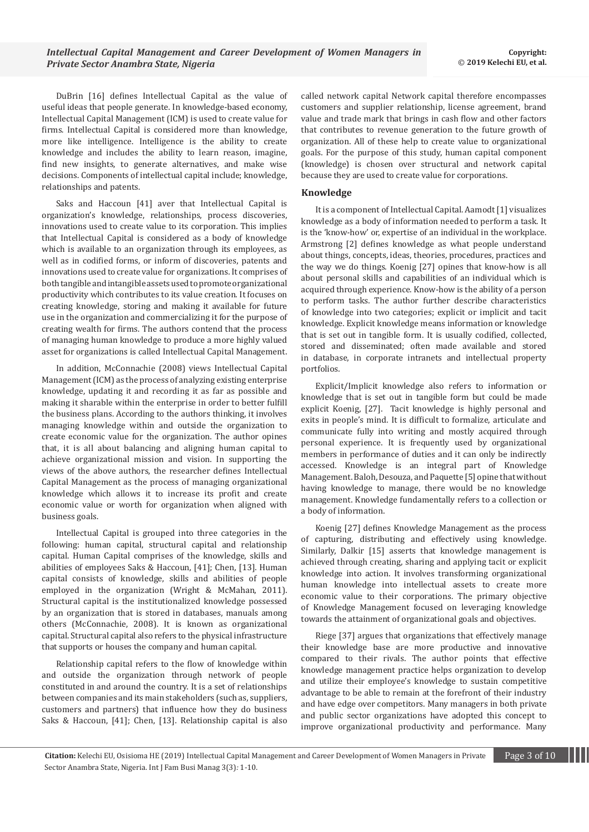DuBrin [16] defines Intellectual Capital as the value of useful ideas that people generate. In knowledge-based economy, Intellectual Capital Management (ICM) is used to create value for firms. Intellectual Capital is considered more than knowledge, more like intelligence. Intelligence is the ability to create knowledge and includes the ability to learn reason, imagine, find new insights, to generate alternatives, and make wise decisions. Components of intellectual capital include; knowledge, relationships and patents.

Saks and Haccoun [41] aver that Intellectual Capital is organization's knowledge, relationships, process discoveries, innovations used to create value to its corporation. This implies that Intellectual Capital is considered as a body of knowledge which is available to an organization through its employees, as well as in codified forms, or inform of discoveries, patents and innovations used to create value for organizations. It comprises of both tangible and intangible assets used to promote organizational productivity which contributes to its value creation. It focuses on creating knowledge, storing and making it available for future use in the organization and commercializing it for the purpose of creating wealth for firms. The authors contend that the process of managing human knowledge to produce a more highly valued asset for organizations is called Intellectual Capital Management.

In addition, McConnachie (2008) views Intellectual Capital Management (ICM) as the process of analyzing existing enterprise knowledge, updating it and recording it as far as possible and making it sharable within the enterprise in order to better fulfill the business plans. According to the authors thinking, it involves managing knowledge within and outside the organization to create economic value for the organization. The author opines that, it is all about balancing and aligning human capital to achieve organizational mission and vision. In supporting the views of the above authors, the researcher defines Intellectual Capital Management as the process of managing organizational knowledge which allows it to increase its profit and create economic value or worth for organization when aligned with business goals.

Intellectual Capital is grouped into three categories in the following: human capital, structural capital and relationship capital. Human Capital comprises of the knowledge, skills and abilities of employees Saks & Haccoun, [41]; Chen, [13]. Human capital consists of knowledge, skills and abilities of people employed in the organization (Wright & McMahan, 2011). Structural capital is the institutionalized knowledge possessed by an organization that is stored in databases, manuals among others (McConnachie, 2008). It is known as organizational capital. Structural capital also refers to the physical infrastructure that supports or houses the company and human capital.

Relationship capital refers to the flow of knowledge within and outside the organization through network of people constituted in and around the country. It is a set of relationships between companies and its main stakeholders (such as, suppliers, customers and partners) that influence how they do business Saks & Haccoun, [41]; Chen, [13]. Relationship capital is also called network capital Network capital therefore encompasses customers and supplier relationship, license agreement, brand value and trade mark that brings in cash flow and other factors that contributes to revenue generation to the future growth of organization. All of these help to create value to organizational goals. For the purpose of this study, human capital component (knowledge) is chosen over structural and network capital because they are used to create value for corporations.

## **Knowledge**

It is a component of Intellectual Capital. Aamodt [1] visualizes knowledge as a body of information needed to perform a task. It is the 'know-how' or, expertise of an individual in the workplace. Armstrong [2] defines knowledge as what people understand about things, concepts, ideas, theories, procedures, practices and the way we do things. Koenig [27] opines that know-how is all about personal skills and capabilities of an individual which is acquired through experience. Know-how is the ability of a person to perform tasks. The author further describe characteristics of knowledge into two categories; explicit or implicit and tacit knowledge. Explicit knowledge means information or knowledge that is set out in tangible form. It is usually codified, collected, stored and disseminated; often made available and stored in database, in corporate intranets and intellectual property portfolios.

Explicit/Implicit knowledge also refers to information or knowledge that is set out in tangible form but could be made explicit Koenig, [27]. Tacit knowledge is highly personal and exits in people's mind. It is difficult to formalize, articulate and communicate fully into writing and mostly acquired through personal experience. It is frequently used by organizational members in performance of duties and it can only be indirectly accessed. Knowledge is an integral part of Knowledge Management. Baloh, Desouza, and Paquette [5] opine that without having knowledge to manage, there would be no knowledge management. Knowledge fundamentally refers to a collection or a body of information.

Koenig [27] defines Knowledge Management as the process of capturing, distributing and effectively using knowledge. Similarly, Dalkir [15] asserts that knowledge management is achieved through creating, sharing and applying tacit or explicit knowledge into action. It involves transforming organizational human knowledge into intellectual assets to create more economic value to their corporations. The primary objective of Knowledge Management focused on leveraging knowledge towards the attainment of organizational goals and objectives.

Riege [37] argues that organizations that effectively manage their knowledge base are more productive and innovative compared to their rivals. The author points that effective knowledge management practice helps organization to develop and utilize their employee's knowledge to sustain competitive advantage to be able to remain at the forefront of their industry and have edge over competitors. Many managers in both private and public sector organizations have adopted this concept to improve organizational productivity and performance. Many

**Citation:** Kelechi EU, Osisioma HE (2019) Intellectual Capital Management and Career Development of Women Managers in Private Page 3 of 10 Sector Anambra State, Nigeria. Int J Fam Busi Manag 3(3)*:* 1*-*10.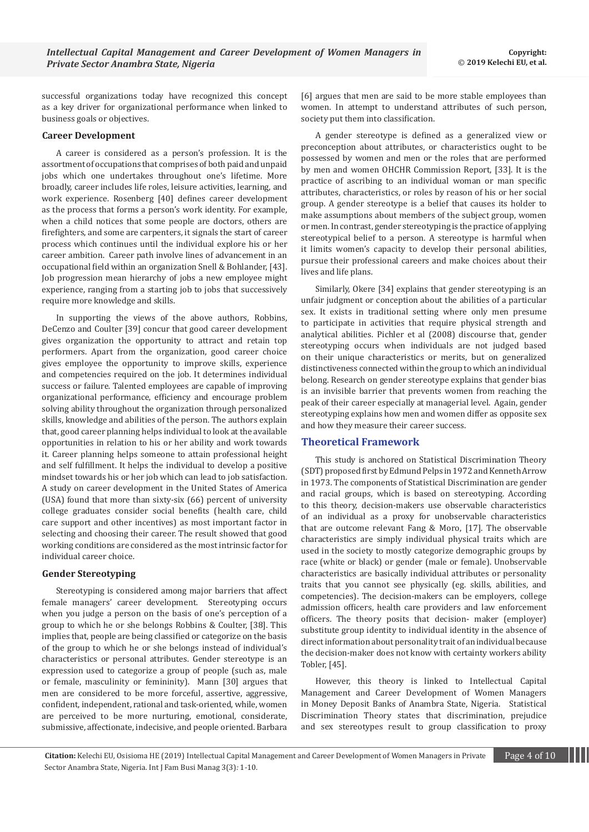successful organizations today have recognized this concept as a key driver for organizational performance when linked to business goals or objectives.

## **Career Development**

A career is considered as a person's profession. It is the assortment of occupations that comprises of both paid and unpaid jobs which one undertakes throughout one's lifetime. More broadly, career includes life roles, leisure activities, learning, and work experience. Rosenberg [40] defines career development as the process that forms a person's work identity. For example, when a child notices that some people are doctors, others are firefighters, and some are carpenters, it signals the start of career process which continues until the individual explore his or her career ambition. Career path involve lines of advancement in an occupational field within an organization Snell & Bohlander, [43]. Job progression mean hierarchy of jobs a new employee might experience, ranging from a starting job to jobs that successively require more knowledge and skills.

In supporting the views of the above authors, Robbins, DeCenzo and Coulter [39] concur that good career development gives organization the opportunity to attract and retain top performers. Apart from the organization, good career choice gives employee the opportunity to improve skills, experience and competencies required on the job. It determines individual success or failure. Talented employees are capable of improving organizational performance, efficiency and encourage problem solving ability throughout the organization through personalized skills, knowledge and abilities of the person. The authors explain that, good career planning helps individual to look at the available opportunities in relation to his or her ability and work towards it. Career planning helps someone to attain professional height and self fulfillment. It helps the individual to develop a positive mindset towards his or her job which can lead to job satisfaction. A study on career development in the United States of America (USA) found that more than sixty-six (66) percent of university college graduates consider social benefits (health care, child care support and other incentives) as most important factor in selecting and choosing their career. The result showed that good working conditions are considered as the most intrinsic factor for individual career choice.

### **Gender Stereotyping**

Stereotyping is considered among major barriers that affect female managers' career development. Stereotyping occurs when you judge a person on the basis of one's perception of a group to which he or she belongs Robbins & Coulter, [38]. This implies that, people are being classified or categorize on the basis of the group to which he or she belongs instead of individual's characteristics or personal attributes. Gender stereotype is an expression used to categorize a group of people (such as, male or female, masculinity or femininity). Mann [30] argues that men are considered to be more forceful, assertive, aggressive, confident, independent, rational and task-oriented, while, women are perceived to be more nurturing, emotional, considerate, submissive, affectionate, indecisive, and people oriented. Barbara

[6] argues that men are said to be more stable employees than women. In attempt to understand attributes of such person, society put them into classification.

A gender stereotype is defined as a generalized view or preconception about attributes, or characteristics ought to be possessed by women and men or the roles that are performed by men and women OHCHR Commission Report, [33]. It is the practice of ascribing to an individual woman or man specific attributes, characteristics, or roles by reason of his or her social group. A gender stereotype is a belief that causes its holder to make assumptions about members of the subject group, women or men. In contrast, gender stereotyping is the practice of applying stereotypical belief to a person. A stereotype is harmful when it limits women's capacity to develop their personal abilities, pursue their professional careers and make choices about their lives and life plans.

Similarly, Okere [34] explains that gender stereotyping is an unfair judgment or conception about the abilities of a particular sex. It exists in traditional setting where only men presume to participate in activities that require physical strength and analytical abilities. Pichler et al (2008) discourse that, gender stereotyping occurs when individuals are not judged based on their unique characteristics or merits, but on generalized distinctiveness connected within the group to which an individual belong. Research on gender stereotype explains that gender bias is an invisible barrier that prevents women from reaching the peak of their career especially at managerial level. Again, gender stereotyping explains how men and women differ as opposite sex and how they measure their career success.

#### **Theoretical Framework**

This study is anchored on Statistical Discrimination Theory (SDT) proposed first by Edmund Pelps in 1972 and Kenneth Arrow in 1973. The components of Statistical Discrimination are gender and racial groups, which is based on stereotyping. According to this theory, decision-makers use observable characteristics of an individual as a proxy for unobservable characteristics that are outcome relevant Fang & Moro, [17]. The observable characteristics are simply individual physical traits which are used in the society to mostly categorize demographic groups by race (white or black) or gender (male or female). Unobservable characteristics are basically individual attributes or personality traits that you cannot see physically (eg. skills, abilities, and competencies). The decision-makers can be employers, college admission officers, health care providers and law enforcement officers. The theory posits that decision- maker (employer) substitute group identity to individual identity in the absence of direct information about personality trait of an individual because the decision-maker does not know with certainty workers ability Tobler, [45].

However, this theory is linked to Intellectual Capital Management and Career Development of Women Managers in Money Deposit Banks of Anambra State, Nigeria. Statistical Discrimination Theory states that discrimination, prejudice and sex stereotypes result to group classification to proxy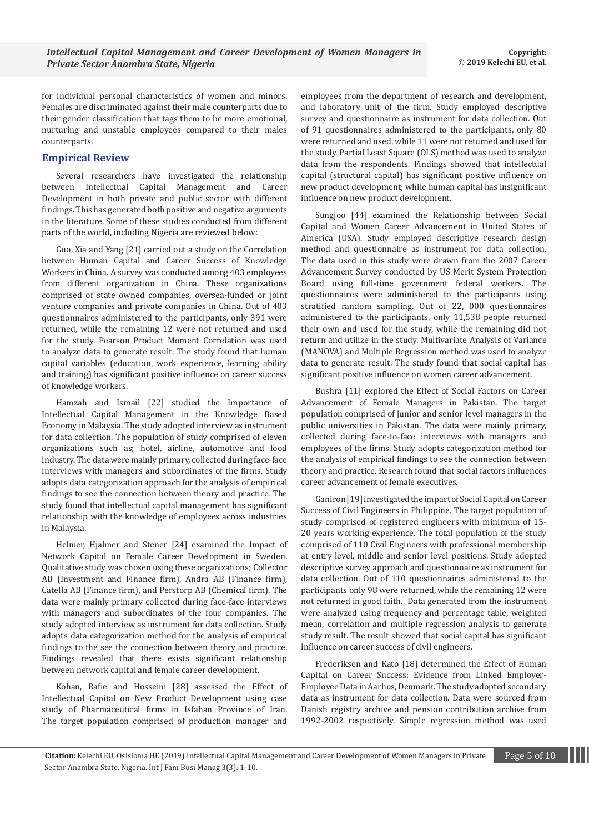for individual personal characteristics of women and minors. Females are discriminated against their male counterparts due to their gender classification that tags them to be more emotional, nurturing and unstable employees compared to their males counterparts.

## **Empirical Review**

Several researchers have investigated the relationship between Intellectual Capital Management and Career Development in both private and public sector with different findings. This has generated both positive and negative arguments in the literature. Some of these studies conducted from different parts of the world, including Nigeria are reviewed below:

Guo, Xia and Yang [21] carried out a study on the Correlation between Human Capital and Career Success of Knowledge Workers in China. A survey was conducted among 403 employees from different organization in China. These organizations comprised of state owned companies, oversea-funded or joint venture companies and private companies in China. Out of 403 questionnaires administered to the participants, only 391 were returned, while the remaining 12 were not returned and used for the study. Pearson Product Moment Correlation was used to analyze data to generate result. The study found that human capital variables (education, work experience, learning ability and training) has significant positive influence on career success of knowledge workers.

Hamzah and Ismail [22] studied the Importance of Intellectual Capital Management in the Knowledge Based Economy in Malaysia. The study adopted interview as instrument for data collection. The population of study comprised of eleven organizations such as; hotel, airline, automotive and food industry. The data were mainly primary, collected during face-face interviews with managers and subordinates of the firms. Study adopts data categorization approach for the analysis of empirical findings to see the connection between theory and practice. The study found that intellectual capital management has significant relationship with the knowledge of employees across industries in Malaysia.

Helmer, Hjalmer and Stener [24] examined the Impact of Network Capital on Female Career Development in Sweden. Qualitative study was chosen using these organizations; Collector AB (Investment and Finance firm), Andra AB (Finance firm), Catella AB (Finance firm), and Perstorp AB (Chemical firm). The data were mainly primary collected during face-face interviews with managers and subordinates of the four companies. The study adopted interview as instrument for data collection. Study adopts data categorization method for the analysis of empirical findings to the see the connection between theory and practice. Findings revealed that there exists significant relationship between network capital and female career development.

Kohan, Rafie and Hosseini [28] assessed the Effect of Intellectual Capital on New Product Development using case study of Pharmaceutical firms in Isfahan Province of Iran. The target population comprised of production manager and

employees from the department of research and development, and laboratory unit of the firm. Study employed descriptive survey and questionnaire as instrument for data collection. Out of 91 questionnaires administered to the participants, only 80 were returned and used, while 11 were not returned and used for the study. Partial Least Square (OLS) method was used to analyze data from the respondents. Findings showed that intellectual capital (structural capital) has significant positive influence on new product development; while human capital has insignificant influence on new product development.

Sungjoo [44] examined the Relationship between Social Capital and Women Career Advancement in United States of America (USA). Study employed descriptive research design method and questionnaire as instrument for data collection. The data used in this study were drawn from the 2007 Career Advancement Survey conducted by US Merit System Protection Board using full-time government federal workers. The questionnaires were administered to the participants using stratified random sampling. Out of 22, 000 questionnaires administered to the participants, only 11,538 people returned their own and used for the study, while the remaining did not return and utilize in the study. Multivariate Analysis of Variance (MANOVA) and Multiple Regression method was used to analyze data to generate result. The study found that social capital has significant positive influence on women career advancement.

Bushra [11] explored the Effect of Social Factors on Career Advancement of Female Managers in Pakistan. The target population comprised of junior and senior level managers in the public universities in Pakistan. The data were mainly primary, collected during face-to-face interviews with managers and employees of the firms. Study adopts categorization method for the analysis of empirical findings to see the connection between theory and practice. Research found that social factors influences career advancement of female executives.

Ganiron [19] investigated the impact of Social Capital on Career Success of Civil Engineers in Philippine. The target population of study comprised of registered engineers with minimum of 15- 20 years working experience. The total population of the study comprised of 110 Civil Engineers with professional membership at entry level, middle and senior level positions. Study adopted descriptive survey approach and questionnaire as instrument for data collection. Out of 110 questionnaires administered to the participants only 98 were returned, while the remaining 12 were not returned in good faith. Data generated from the instrument were analyzed using frequency and percentage table, weighted mean, correlation and multiple regression analysis to generate study result. The result showed that social capital has significant influence on career success of civil engineers.

Frederiksen and Kato [18] determined the Effect of Human Capital on Career Success: Evidence from Linked Employer-Employee Data in Aarhus, Denmark. The study adopted secondary data as instrument for data collection. Data were sourced from Danish registry archive and pension contribution archive from 1992-2002 respectively. Simple regression method was used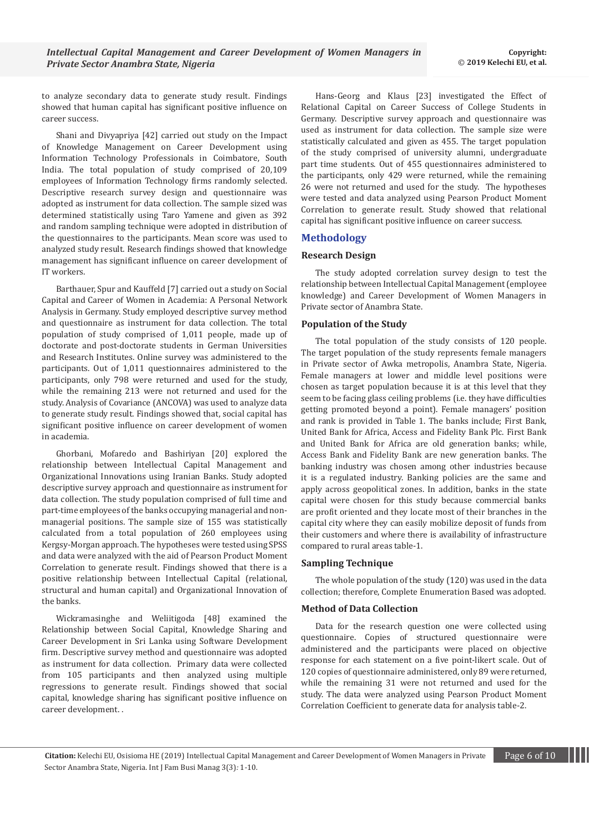to analyze secondary data to generate study result. Findings showed that human capital has significant positive influence on career success.

Shani and Divyapriya [42] carried out study on the Impact of Knowledge Management on Career Development using Information Technology Professionals in Coimbatore, South India. The total population of study comprised of 20,109 employees of Information Technology firms randomly selected. Descriptive research survey design and questionnaire was adopted as instrument for data collection. The sample sized was determined statistically using Taro Yamene and given as 392 and random sampling technique were adopted in distribution of the questionnaires to the participants. Mean score was used to analyzed study result. Research findings showed that knowledge management has significant influence on career development of IT workers.

Barthauer, Spur and Kauffeld [7] carried out a study on Social Capital and Career of Women in Academia: A Personal Network Analysis in Germany. Study employed descriptive survey method and questionnaire as instrument for data collection. The total population of study comprised of 1,011 people, made up of doctorate and post-doctorate students in German Universities and Research Institutes. Online survey was administered to the participants. Out of 1,011 questionnaires administered to the participants, only 798 were returned and used for the study, while the remaining 213 were not returned and used for the study. Analysis of Covariance (ANCOVA) was used to analyze data to generate study result. Findings showed that, social capital has significant positive influence on career development of women in academia.

Ghorbani, Mofaredo and Bashiriyan [20] explored the relationship between Intellectual Capital Management and Organizational Innovations using Iranian Banks. Study adopted descriptive survey approach and questionnaire as instrument for data collection. The study population comprised of full time and part-time employees of the banks occupying managerial and nonmanagerial positions. The sample size of 155 was statistically calculated from a total population of 260 employees using Kergsy-Morgan approach. The hypotheses were tested using SPSS and data were analyzed with the aid of Pearson Product Moment Correlation to generate result. Findings showed that there is a positive relationship between Intellectual Capital (relational, structural and human capital) and Organizational Innovation of the banks.

Wickramasinghe and Weliitigoda [48] examined the Relationship between Social Capital, Knowledge Sharing and Career Development in Sri Lanka using Software Development firm. Descriptive survey method and questionnaire was adopted as instrument for data collection. Primary data were collected from 105 participants and then analyzed using multiple regressions to generate result. Findings showed that social capital, knowledge sharing has significant positive influence on career development. .

Hans-Georg and Klaus [23] investigated the Effect of Relational Capital on Career Success of College Students in Germany. Descriptive survey approach and questionnaire was used as instrument for data collection. The sample size were statistically calculated and given as 455. The target population of the study comprised of university alumni, undergraduate part time students. Out of 455 questionnaires administered to the participants, only 429 were returned, while the remaining 26 were not returned and used for the study. The hypotheses were tested and data analyzed using Pearson Product Moment Correlation to generate result. Study showed that relational capital has significant positive influence on career success.

# **Methodology**

## **Research Design**

The study adopted correlation survey design to test the relationship between Intellectual Capital Management (employee knowledge) and Career Development of Women Managers in Private sector of Anambra State.

## **Population of the Study**

The total population of the study consists of 120 people. The target population of the study represents female managers in Private sector of Awka metropolis, Anambra State, Nigeria. Female managers at lower and middle level positions were chosen as target population because it is at this level that they seem to be facing glass ceiling problems (i.e. they have difficulties getting promoted beyond a point). Female managers' position and rank is provided in Table 1. The banks include; First Bank, United Bank for Africa, Access and Fidelity Bank Plc. First Bank and United Bank for Africa are old generation banks; while, Access Bank and Fidelity Bank are new generation banks. The banking industry was chosen among other industries because it is a regulated industry. Banking policies are the same and apply across geopolitical zones. In addition, banks in the state capital were chosen for this study because commercial banks are profit oriented and they locate most of their branches in the capital city where they can easily mobilize deposit of funds from their customers and where there is availability of infrastructure compared to rural areas table-1.

# **Sampling Technique**

The whole population of the study (120) was used in the data collection; therefore, Complete Enumeration Based was adopted.

# **Method of Data Collection**

Data for the research question one were collected using questionnaire. Copies of structured questionnaire were administered and the participants were placed on objective response for each statement on a five point-likert scale. Out of 120 copies of questionnaire administered, only 89 were returned, while the remaining 31 were not returned and used for the study. The data were analyzed using Pearson Product Moment Correlation Coefficient to generate data for analysis table-2.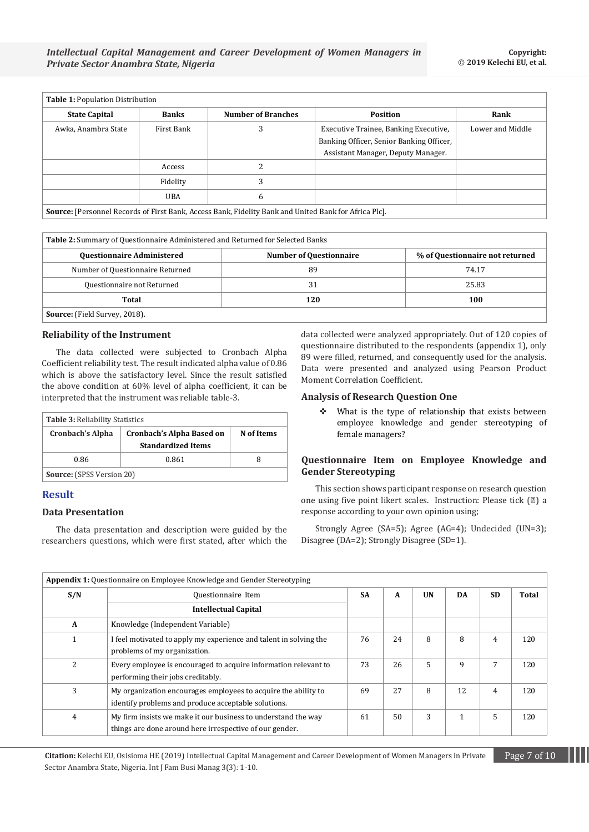| <b>Table 1: Population Distribution</b> |              |                                                                                                              |                                                                                                                         |                  |  |  |
|-----------------------------------------|--------------|--------------------------------------------------------------------------------------------------------------|-------------------------------------------------------------------------------------------------------------------------|------------------|--|--|
| <b>State Capital</b>                    | <b>Banks</b> | <b>Number of Branches</b>                                                                                    | <b>Position</b>                                                                                                         | Rank             |  |  |
| Awka, Anambra State                     | First Bank   | 3                                                                                                            | Executive Trainee, Banking Executive,<br>Banking Officer, Senior Banking Officer,<br>Assistant Manager, Deputy Manager. | Lower and Middle |  |  |
|                                         | Access       |                                                                                                              |                                                                                                                         |                  |  |  |
|                                         | Fidelity     | 3                                                                                                            |                                                                                                                         |                  |  |  |
|                                         | UBA          | 6                                                                                                            |                                                                                                                         |                  |  |  |
|                                         |              | <b>Source:</b> [Personnel Records of First Bank, Access Bank, Fidelity Bank and United Bank for Africa Plc]. |                                                                                                                         |                  |  |  |

**Table 2:** Summary of Questionnaire Administered and Returned for Selected Banks

| <b>Questionnaire Administered</b>    | <b>Number of Questionnaire</b> | % of Questionnaire not returned |
|--------------------------------------|--------------------------------|---------------------------------|
| Number of Questionnaire Returned     | 89                             | 74.17                           |
| Questionnaire not Returned           | 31                             | 25.83                           |
| Total                                | 120                            | 100                             |
| <b>Source:</b> (Field Survey, 2018). |                                |                                 |

#### **Reliability of the Instrument**

The data collected were subjected to Cronbach Alpha Coefficient reliability test. The result indicated alpha value of 0.86 which is above the satisfactory level. Since the result satisfied the above condition at 60% level of alpha coefficient, it can be interpreted that the instrument was reliable table-3.

| <b>Table 3: Reliability Statistics</b> |                                                               |            |  |  |  |  |
|----------------------------------------|---------------------------------------------------------------|------------|--|--|--|--|
| <b>Cronbach's Alpha</b>                | <b>Cronbach's Alpha Based on</b><br><b>Standardized Items</b> | N of Items |  |  |  |  |
| 0.86                                   | 0.861                                                         | 8          |  |  |  |  |
| <b>Source:</b> (SPSS Version 20)       |                                                               |            |  |  |  |  |

# **Result**

#### **Data Presentation**

The data presentation and description were guided by the researchers questions, which were first stated, after which the data collected were analyzed appropriately. Out of 120 copies of questionnaire distributed to the respondents (appendix 1), only 89 were filled, returned, and consequently used for the analysis. Data were presented and analyzed using Pearson Product Moment Correlation Coefficient.

#### **Analysis of Research Question One**

 $\div$  What is the type of relationship that exists between employee knowledge and gender stereotyping of female managers?

# **Questionnaire Item on Employee Knowledge and Gender Stereotyping**

This section shows participant response on research question one using five point likert scales. Instruction: Please tick (□) a response according to your own opinion using;

Strongly Agree (SA=5); Agree (AG=4); Undecided (UN=3); Disagree (DA=2); Strongly Disagree (SD=1).

|              | <b>Appendix 1:</b> Questionnaire on Employee Knowledge and Gender Stereotyping                                           |           |    |           |    |           |              |
|--------------|--------------------------------------------------------------------------------------------------------------------------|-----------|----|-----------|----|-----------|--------------|
| S/N          | Questionnaire Item                                                                                                       | <b>SA</b> | A  | <b>UN</b> | DA | <b>SD</b> | <b>Total</b> |
|              | <b>Intellectual Capital</b>                                                                                              |           |    |           |    |           |              |
| $\mathbf{A}$ | Knowledge (Independent Variable)                                                                                         |           |    |           |    |           |              |
|              | I feel motivated to apply my experience and talent in solving the<br>problems of my organization.                        | 76        | 24 | 8         | 8  | 4         | 120          |
| 2            | Every employee is encouraged to acquire information relevant to<br>performing their jobs creditably.                     | 73        | 26 | 5         | 9  | 7         | 120          |
| 3            | My organization encourages employees to acquire the ability to<br>identify problems and produce acceptable solutions.    | 69        | 27 | 8         | 12 | 4         | 120          |
| 4            | My firm insists we make it our business to understand the way<br>things are done around here irrespective of our gender. | 61        | 50 | 3         |    | 5         | 120          |

**Citation:** Kelechi EU, Osisioma HE (2019) Intellectual Capital Management and Career Development of Women Managers in Private Page 7 of 10 Sector Anambra State, Nigeria. Int J Fam Busi Manag 3(3)*:* 1*-*10.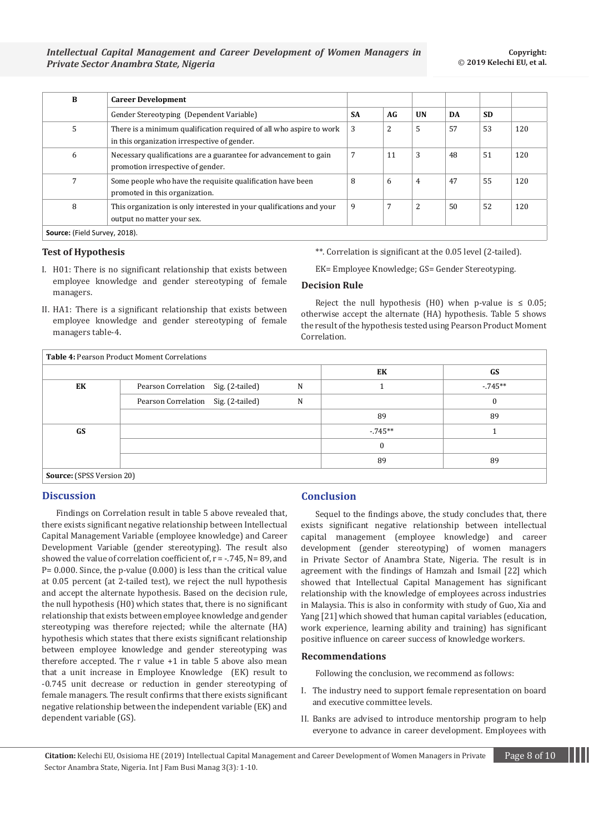| B                             | <b>Career Development</b>                                                                                           |           |    |                |    |           |     |
|-------------------------------|---------------------------------------------------------------------------------------------------------------------|-----------|----|----------------|----|-----------|-----|
|                               | Gender Stereotyping (Dependent Variable)                                                                            | <b>SA</b> | AG | <b>UN</b>      | DA | <b>SD</b> |     |
| 5                             | There is a minimum qualification required of all who aspire to work<br>in this organization irrespective of gender. | 3         | 2  | 5              | 57 | 53        | 120 |
| 6                             | Necessary qualifications are a guarantee for advancement to gain<br>promotion irrespective of gender.               | 7         | 11 | 3              | 48 | 51        | 120 |
|                               | Some people who have the requisite qualification have been<br>promoted in this organization.                        | 8         | 6  | 4              | 47 | 55        | 120 |
| 8                             | This organization is only interested in your qualifications and your<br>output no matter your sex.                  | 9         |    | $\overline{2}$ | 50 | 52        | 120 |
| Source: (Field Survey, 2018). |                                                                                                                     |           |    |                |    |           |     |

#### **Test of Hypothesis**

- I. H01: There is no significant relationship that exists between employee knowledge and gender stereotyping of female managers.
- II. HA1: There is a significant relationship that exists between employee knowledge and gender stereotyping of female managers table-4.

\*\*. Correlation is significant at the 0.05 level (2-tailed).

EK= Employee Knowledge; GS= Gender Stereotyping.

### **Decision Rule**

Reject the null hypothesis (H0) when p-value is  $\leq 0.05$ ; otherwise accept the alternate (HA) hypothesis. Table 5 shows the result of the hypothesis tested using Pearson Product Moment Correlation.

|    |                                     |   | EK               | GS       |
|----|-------------------------------------|---|------------------|----------|
| EK | Pearson Correlation Sig. (2-tailed) | N |                  | $-745**$ |
|    | Pearson Correlation Sig. (2-tailed) | N |                  |          |
|    |                                     |   | 89               | 89       |
| GS |                                     |   | $-745**$         |          |
|    |                                     |   | $\boldsymbol{0}$ |          |
|    |                                     |   | 89               | 89       |

# **Discussion**

Findings on Correlation result in table 5 above revealed that, there exists significant negative relationship between Intellectual Capital Management Variable (employee knowledge) and Career Development Variable (gender stereotyping). The result also showed the value of correlation coefficient of, r = -.745, N= 89, and P= 0.000. Since, the p-value (0.000) is less than the critical value at 0.05 percent (at 2-tailed test), we reject the null hypothesis and accept the alternate hypothesis. Based on the decision rule, the null hypothesis (H0) which states that, there is no significant relationship that exists between employee knowledge and gender stereotyping was therefore rejected; while the alternate (HA) hypothesis which states that there exists significant relationship between employee knowledge and gender stereotyping was therefore accepted. The r value +1 in table 5 above also mean that a unit increase in Employee Knowledge (EK) result to -0.745 unit decrease or reduction in gender stereotyping of female managers. The result confirms that there exists significant negative relationship between the independent variable (EK) and dependent variable (GS).

# **Conclusion**

Sequel to the findings above, the study concludes that, there exists significant negative relationship between intellectual capital management (employee knowledge) and career development (gender stereotyping) of women managers in Private Sector of Anambra State, Nigeria. The result is in agreement with the findings of Hamzah and Ismail [22] which showed that Intellectual Capital Management has significant relationship with the knowledge of employees across industries in Malaysia. This is also in conformity with study of Guo, Xia and Yang [21] which showed that human capital variables (education, work experience, learning ability and training) has significant positive influence on career success of knowledge workers.

#### **Recommendations**

Following the conclusion, we recommend as follows:

- I. The industry need to support female representation on board and executive committee levels.
- II. Banks are advised to introduce mentorship program to help everyone to advance in career development. Employees with

**Citation:** Kelechi EU, Osisioma HE (2019) Intellectual Capital Management and Career Development of Women Managers in Private Page 8 of 10 Sector Anambra State, Nigeria. Int J Fam Busi Manag 3(3)*:* 1*-*10.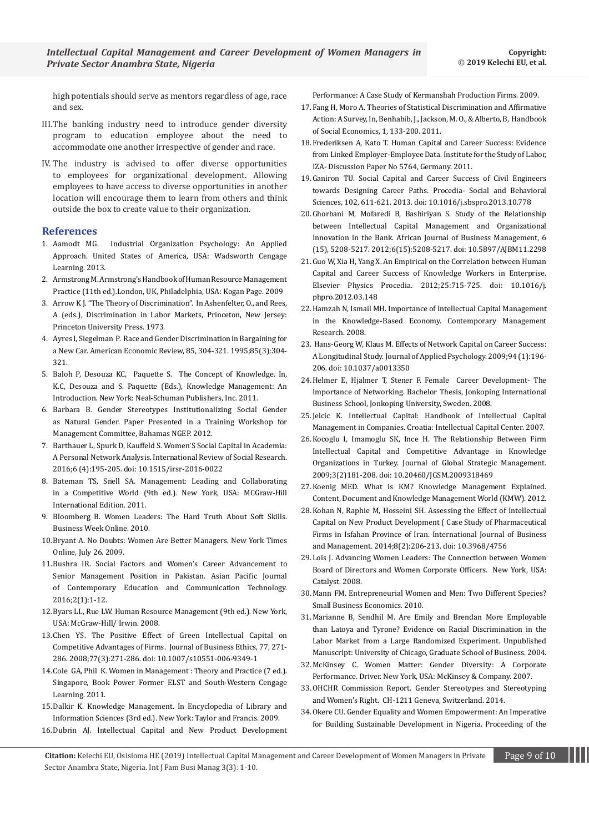high potentials should serve as mentors regardless of age, race and sex.

- III.The banking industry need to introduce gender diversity program to education employee about the need to accommodate one another irrespective of gender and race.
- IV. The industry is advised to offer diverse opportunities to employees for organizational development. Allowing employees to have access to diverse opportunities in another location will encourage them to learn from others and think outside the box to create value to their organization.

#### **References**

- 1. [Aamodt MG. Industrial Organization Psychology: An Applied](https://pdfs.semanticscholar.org/90ce/dc357886123b36bb95065462a8940ab82670.pdf)  [Approach. United States of America, USA: Wadsworth Cengage](https://pdfs.semanticscholar.org/90ce/dc357886123b36bb95065462a8940ab82670.pdf)  [Learning. 2013.](https://pdfs.semanticscholar.org/90ce/dc357886123b36bb95065462a8940ab82670.pdf)
- 2. [Armstrong M. Armstrong's Handbook of Human Resource Management](http://www.scirp.org/(S(lz5mqp453edsnp55rrgjct55))/reference/ReferencesPapers.aspx?ReferenceID=1624804)  [Practice \(11th ed.\).London, UK, Philadelphia, USA: Kogan Page. 2009](http://www.scirp.org/(S(lz5mqp453edsnp55rrgjct55))/reference/ReferencesPapers.aspx?ReferenceID=1624804)
- 3. [Arrow K J. "The Theory of Discrimination". In Ashenfelter, O., and Rees,](http://www.scirp.org/(S(351jmbntvnsjt1aadkposzje))/reference/ReferencesPapers.aspx?ReferenceID=580126)  [A \(eds.\), Discrimination in Labor Markets, Princeton, New Jersey:](http://www.scirp.org/(S(351jmbntvnsjt1aadkposzje))/reference/ReferencesPapers.aspx?ReferenceID=580126)  [Princeton University Press. 1973.](http://www.scirp.org/(S(351jmbntvnsjt1aadkposzje))/reference/ReferencesPapers.aspx?ReferenceID=580126)
- 4. [Ayres I, Siegelman P. Race and Gender Discrimination in Bargaining for](http://public.econ.duke.edu/~hf14/teaching/povertydisc/readings/ayres-siegelman95.pdf)  [a New Car. American Economic Review, 85, 304-321. 1995;85\(3\):304-](http://public.econ.duke.edu/~hf14/teaching/povertydisc/readings/ayres-siegelman95.pdf) [321.](http://public.econ.duke.edu/~hf14/teaching/povertydisc/readings/ayres-siegelman95.pdf)
- 5. [Baloh P, Desouza KC, Paquette S. The Concept of Knowledge. In,](https://dspace.lboro.ac.uk/dspace-jspui/bitstream/2134/11680/3/DeSouza.pdf)  [K.C, Desouza and S. Paquette \(Eds.\), Knowledge Management: An](https://dspace.lboro.ac.uk/dspace-jspui/bitstream/2134/11680/3/DeSouza.pdf)  [Introduction. New York: Neal-Schuman Publishers, Inc. 2011.](https://dspace.lboro.ac.uk/dspace-jspui/bitstream/2134/11680/3/DeSouza.pdf)
- 6. [Barbara B. Gender Stereotypes Institutionalizing Social Gender](http://www.soencouragement.org/annick/slides/Gender%20Stereotypes%202PDF.pdf)  [as Natural Gender. Paper Presented in a Training Workshop for](http://www.soencouragement.org/annick/slides/Gender%20Stereotypes%202PDF.pdf)  [Management Committee, Bahamas NGEP. 2012.](http://www.soencouragement.org/annick/slides/Gender%20Stereotypes%202PDF.pdf)
- 7. [Barthauer L, Spurk D, Kauffeld S. Women'S Social Capital in Academia:](https://content.sciendo.com/view/journals/irsr/6/4/article-p195.xml)  [A Personal Network Analysis. International Review of Social Research.](https://content.sciendo.com/view/journals/irsr/6/4/article-p195.xml)  [2016;6 \(4\):195-205. doi: 10.1515/irsr-2016-0022](https://content.sciendo.com/view/journals/irsr/6/4/article-p195.xml)
- 8. [Bateman TS, Snell SA. Management: Leading and Collaborating](https://trove.nla.gov.au/work/14050819)  [in a Competitive World \(9th ed.\). New York, USA: MCGraw-Hill](https://trove.nla.gov.au/work/14050819)  [International Edition. 2011.](https://trove.nla.gov.au/work/14050819)
- 9. [Bloomberg B. Women Leaders: The Hard Truth About Soft Skills.](https://www.bloomberg.com/news/articles/2010-02-16/women-leaders-the-hard-truth-about-soft-skillsbusinessweek-business-news-stock-market-and-financial-advice)  [Business Week Online. 2010.](https://www.bloomberg.com/news/articles/2010-02-16/women-leaders-the-hard-truth-about-soft-skillsbusinessweek-business-news-stock-market-and-financial-advice)
- 10.[Bryant A. No Doubts: Women Are Better Managers. New York Times](https://www.nytimes.com/2009/07/26/business/26corner.html)  [Online, July 26. 2009.](https://www.nytimes.com/2009/07/26/business/26corner.html)
- 11.[Bushra IR. Social Factors and Women's Career Advancement to](https://apiar.org.au/wp-content/uploads/2016/03/13_APJCECT_ICTP_BRR740_EDU-134-145.pdf)  [Senior Management Position in Pakistan.](https://apiar.org.au/wp-content/uploads/2016/03/13_APJCECT_ICTP_BRR740_EDU-134-145.pdf) Asian Pacific Journal [of Contemporary Education and Communication Technology.](https://apiar.org.au/wp-content/uploads/2016/03/13_APJCECT_ICTP_BRR740_EDU-134-145.pdf)  [2016;2\(1\):1-12.](https://apiar.org.au/wp-content/uploads/2016/03/13_APJCECT_ICTP_BRR740_EDU-134-145.pdf)
- 12.[Byars LL, Rue LW. Human Resource Management \(9th ed.\). New York,](https://trove.nla.gov.au/work/5486330)  [USA: McGraw-Hill/ Irwin. 2008.](https://trove.nla.gov.au/work/5486330)
- 13.[Chen YS. The Positive Effect of Green Intellectual Capital on](https://link.springer.com/article/10.1007/s10551-006-9349-1)  [Competitive Advantages of Firms. Journal of Business Ethics, 77, 271-](https://link.springer.com/article/10.1007/s10551-006-9349-1) [286. 2008;77\(3\):271-286. doi: 10.1007/s10551-006-9349-1](https://link.springer.com/article/10.1007/s10551-006-9349-1)
- 14.[Cole GA, Phil K. Women in Management : Theory and Practice \(7 ed.\).](https://www.amazon.com/Management-Theory-Practice-Gerald-Cole/dp/1844805069)  [Singapore, Book Power Former ELST and South-Western Cengage](https://www.amazon.com/Management-Theory-Practice-Gerald-Cole/dp/1844805069)  [Learning. 2011.](https://www.amazon.com/Management-Theory-Practice-Gerald-Cole/dp/1844805069)
- 15.[Dalkir K. Knowledge Management. In Encyclopedia of Library and](https://www.taylorfrancis.com/books/e/9780203757635/chapters/10.1081/E-ELIS3-120043816)  [Information Sciences \(3rd ed.\). New York: Taylor and Francis. 2009.](https://www.taylorfrancis.com/books/e/9780203757635/chapters/10.1081/E-ELIS3-120043816)
- 16.Dubrin AJ. Intellectual Capital and New Product Development

Performance: A Case Study of Kermanshah Production Firms. 2009.

- 17.[Fang H, Moro A. Theories of Statistical Discrimination and Affirmative](https://econpapers.repec.org/paper/nbrnberwo/15860.htm)  [Action: A Survey, In, Benhabib, J., Jackson, M. O., & Alberto, B, Handbook](https://econpapers.repec.org/paper/nbrnberwo/15860.htm)  [of Social Economics, 1, 133-200. 2011.](https://econpapers.repec.org/paper/nbrnberwo/15860.htm)
- 18.[Frederiksen A, Kato T. Human Capital and Career Success: Evidence](https://econpapers.repec.org/paper/izaizadps/dp5764.htm)  [from Linked Employer-Employee Data. Institute for the Study of Labor,](https://econpapers.repec.org/paper/izaizadps/dp5764.htm)  [IZA- Discussion Paper No 5764, Germany. 2011.](https://econpapers.repec.org/paper/izaizadps/dp5764.htm)
- 19.[Ganiron TU. Social Capital and Career Success of Civil Engineers](https://www.sciencedirect.com/science/article/pii/S1877042813043140)  [towards Designing Career Paths. Procedia- Social and Behavioral](https://www.sciencedirect.com/science/article/pii/S1877042813043140)  [Sciences, 102, 611-621. 2013. doi: 10.1016/j.sbspro.2013.10.778](https://www.sciencedirect.com/science/article/pii/S1877042813043140)
- 20.[Ghorbani M, Mofaredi B, Bashiriyan S. Study of the Relationship](http://www.academicjournals.org/app/webroot/article/article1380713560_Ghorbani%20et%20al.pdf)  [between Intellectual Capital Management and Organizational](http://www.academicjournals.org/app/webroot/article/article1380713560_Ghorbani%20et%20al.pdf)  [Innovation in the Bank. African Journal of Business Management, 6](http://www.academicjournals.org/app/webroot/article/article1380713560_Ghorbani%20et%20al.pdf)  [\(15\), 5208-5217. 2012;6\(15\):5208-5217. doi: 10.5897/AJBM11.2298](http://www.academicjournals.org/app/webroot/article/article1380713560_Ghorbani%20et%20al.pdf)
- 21.[Guo W, Xia H, Yang X. An Empirical on the Correlation between Human](https://www.sciencedirect.com/science/article/pii/S1875389212005640)  [Capital and Career Success of Knowledge Workers in Enterprise.](https://www.sciencedirect.com/science/article/pii/S1875389212005640)  [Elsevier Physics Procedia. 2012;25:715-725. doi: 10.1016/j.](https://www.sciencedirect.com/science/article/pii/S1875389212005640) [phpro.2012.03.148](https://www.sciencedirect.com/science/article/pii/S1875389212005640)
- 22.[Hamzah N, Ismail MH. Importance of Intellectual Capital Management](https://www.researchgate.net/publication/290121092_The_Importance_of_Intellectual_Capital_Management_in_the_Knowledge-based_Economy)  [in the Knowledge-Based Economy. Contemporary Management](https://www.researchgate.net/publication/290121092_The_Importance_of_Intellectual_Capital_Management_in_the_Knowledge-based_Economy)  [Research. 2008.](https://www.researchgate.net/publication/290121092_The_Importance_of_Intellectual_Capital_Management_in_the_Knowledge-based_Economy)
- 23. [Hans-Georg W, Klaus M. Effects of Network Capital on Career Success:](https://pdfs.semanticscholar.org/7def/42bede738e6def9cb719609d4557c5fe7468.pdf)  [A Longitudinal Study. Journal of Applied Psychology. 2009;94 \(1\):196-](https://pdfs.semanticscholar.org/7def/42bede738e6def9cb719609d4557c5fe7468.pdf) [206. doi: 10.1037/a0013350](https://pdfs.semanticscholar.org/7def/42bede738e6def9cb719609d4557c5fe7468.pdf)
- 24.[Helmer E, Hjalmer T, Stener F. Female Career Development- The](http://www.diva-portal.org/smash/get/diva2:158016/FULLTEXT01.pdf)  [Importance of Networking. Bachelor Thesis, Jonkoping International](http://www.diva-portal.org/smash/get/diva2:158016/FULLTEXT01.pdf)  [Business School, Jonkoping University, Sweden. 2008.](http://www.diva-portal.org/smash/get/diva2:158016/FULLTEXT01.pdf)
- 25.[Jelcic K. Intellectual Capital: Handbook of Intellectual Capital](http://www.cik-hr.com/data/IC_Management.pdf)  [Management in Companies. Croatia: Intellectual Capital Center. 2007.](http://www.cik-hr.com/data/IC_Management.pdf)
- 26.[Kocoglu I, Imamoglu SK, Ince H. The Relationship Between Firm](http://isma.info/uploads/files/181-the-relationship-between-firm-intellectual-capital-and-the-competitive-advantage.pdf)  [Intellectual Capital and Competitive Advantage in Knowledge](http://isma.info/uploads/files/181-the-relationship-between-firm-intellectual-capital-and-the-competitive-advantage.pdf)  [Organizations in Turkey. Journal of Global Strategic Management.](http://isma.info/uploads/files/181-the-relationship-between-firm-intellectual-capital-and-the-competitive-advantage.pdf)  [2009;3\(2\)181-208. doi: 10.20460/JGSM.2009318469](http://isma.info/uploads/files/181-the-relationship-between-firm-intellectual-capital-and-the-competitive-advantage.pdf)
- 27.[Koenig MED. What is KM? Knowledge Management Explained.](http://www.kmworld.com/Articles/Editorial/What-Is-&/What-is-KM-Knowledge-Management-Explained-82405.aspx)  [Content, Document and Knowledge Management World \(KMW\). 2012.](http://www.kmworld.com/Articles/Editorial/What-Is-&/What-is-KM-Knowledge-Management-Explained-82405.aspx)
- 28.[Kohan N, Raphie M, Hosseini SH. Assessing the Effect of Intellectual](https://pdfs.semanticscholar.org/7bf9/733b0d8b22e813e0df1ad463c7ce212b18d5.pdf)  [Capital on New Product Development \( Case Study of Pharmaceutical](https://pdfs.semanticscholar.org/7bf9/733b0d8b22e813e0df1ad463c7ce212b18d5.pdf)  [Firms in Isfahan Province of Iran. International Journal of Business](https://pdfs.semanticscholar.org/7bf9/733b0d8b22e813e0df1ad463c7ce212b18d5.pdf)  [and Management. 2014;8\(2\):206-213. doi: 10.3968/4756](https://pdfs.semanticscholar.org/7bf9/733b0d8b22e813e0df1ad463c7ce212b18d5.pdf)
- 29.[Lois J. Advancing Women Leaders: The Connection between Women](https://www.catalyst.org/research/advancing-women-leaders-the-connection-between-women-board-directors-and-women-corporate-officers/)  [Board of Directors and Women Corporate Officers. New York, USA:](https://www.catalyst.org/research/advancing-women-leaders-the-connection-between-women-board-directors-and-women-corporate-officers/)  [Catalyst. 2008.](https://www.catalyst.org/research/advancing-women-leaders-the-connection-between-women-board-directors-and-women-corporate-officers/)
- 30.[Mann FM. Entrepreneurial Women and Men: Two Different Species?](http://anon-ftp.iza.org/dp4778.pdf)  [Small Business Economics. 2010.](http://anon-ftp.iza.org/dp4778.pdf)
- 31.[Marianne B, Sendhil M. Are Emily and Brendan More Employable](https://www2.econ.iastate.edu/classes/econ321/orazem/bertrand_emily.pdf)  [than Latoya and Tyrone? Evidence on Racial Discrimination in the](https://www2.econ.iastate.edu/classes/econ321/orazem/bertrand_emily.pdf)  [Labor Market from a Large Randomized Experiment. Unpublished](https://www2.econ.iastate.edu/classes/econ321/orazem/bertrand_emily.pdf)  [Manuscript: University of Chicago, Graduate School of Business. 2004.](https://www2.econ.iastate.edu/classes/econ321/orazem/bertrand_emily.pdf)
- 32.[McKinsey C. Women Matter: Gender Diversity: A Corporate](https://www.mckinsey.com/~/media/McKinsey/Business%20Functions/Organization/Our%20Insights/Gender%20diversity%20a%20corporate%20performance%20driver/Gender%20diversity%20a%20corporate%20performance%20driver.ashx)  [Performance. Driver. New York, USA: McKinsey & Company. 2007.](https://www.mckinsey.com/~/media/McKinsey/Business%20Functions/Organization/Our%20Insights/Gender%20diversity%20a%20corporate%20performance%20driver/Gender%20diversity%20a%20corporate%20performance%20driver.ashx)
- 33.[OHCHR Commission Report. Gender Stereotypes and Stereotyping](https://www.ohchr.org/documents/issues/women/wrgs/onepagers/gender_stereotyping.pdf)  [and Women's Right. CH-1211 Geneva, Switzerland. 2014.](https://www.ohchr.org/documents/issues/women/wrgs/onepagers/gender_stereotyping.pdf)
- 34.Okere CU. Gender Equality and Women Empowerment: An Imperative for Building Sustainable Development in Nigeria. Proceeding of the

**Citation:** Kelechi EU, Osisioma HE (2019) Intellectual Capital Management and Career Development of Women Managers in Private Page 9 of 10 Sector Anambra State, Nigeria. Int J Fam Busi Manag 3(3)*:* 1*-*10.